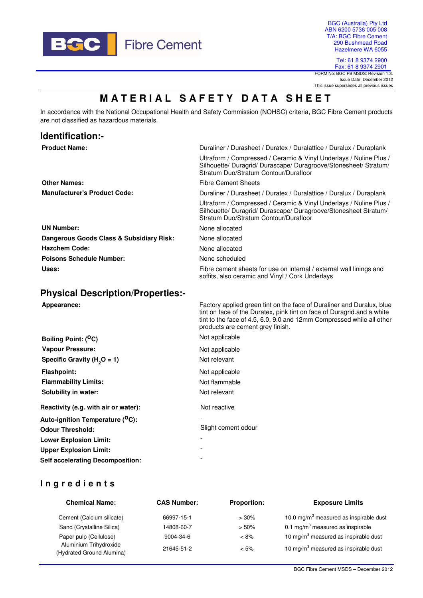

BGC (Australia) Pty Ltd ABN 6200 5736 005 008 T/A: BGC Fibre Cement 290 Bushmead Road Hazelmere WA 6055

Tel: 61 8 9374 2900 Fax: 61 8 9374 2901 FORM No: BGC PB MSDS: Revision 1.3.

Issue Date: December 2012 This issue supersedes all previous issues

# **MATERIAL SAFETY DATA SHEET**

In accordance with the National Occupational Health and Safety Commission (NOHSC) criteria, BGC Fibre Cement products are not classified as hazardous materials.

| Identification:-                         |                                                                                                                                                                                                                                                              |  |
|------------------------------------------|--------------------------------------------------------------------------------------------------------------------------------------------------------------------------------------------------------------------------------------------------------------|--|
| <b>Product Name:</b>                     | Duraliner / Durasheet / Duratex / Duralattice / Duralux / Duraplank                                                                                                                                                                                          |  |
|                                          | Ultraform / Compressed / Ceramic & Vinyl Underlays / Nuline Plus /<br>Silhouette/ Duragrid/ Durascape/ Duragroove/Stonesheet/ Stratum/<br>Stratum Duo/Stratum Contour/Durafloor                                                                              |  |
| <b>Other Names:</b>                      | <b>Fibre Cement Sheets</b>                                                                                                                                                                                                                                   |  |
| <b>Manufacturer's Product Code:</b>      | Duraliner / Durasheet / Duratex / Duralattice / Duralux / Duraplank                                                                                                                                                                                          |  |
|                                          | Ultraform / Compressed / Ceramic & Vinyl Underlays / Nuline Plus /<br>Silhouette/ Duragrid/ Durascape/ Duragroove/Stonesheet Stratum/<br>Stratum Duo/Stratum Contour/Durafloor                                                                               |  |
| <b>UN Number:</b>                        | None allocated                                                                                                                                                                                                                                               |  |
| Dangerous Goods Class & Subsidiary Risk: | None allocated                                                                                                                                                                                                                                               |  |
| <b>Hazchem Code:</b>                     | None allocated                                                                                                                                                                                                                                               |  |
| <b>Poisons Schedule Number:</b>          | None scheduled                                                                                                                                                                                                                                               |  |
| Uses:                                    | Fibre cement sheets for use on internal / external wall linings and<br>soffits, also ceramic and Vinyl / Cork Underlays                                                                                                                                      |  |
| <b>Physical Description/Properties:-</b> |                                                                                                                                                                                                                                                              |  |
| Appearance:                              | Factory applied green tint on the face of Duraliner and Duralux, blue<br>tint on face of the Duratex, pink tint on face of Duragrid and a white<br>tint to the face of 4.5, 6.0, 9.0 and 12mm Compressed while all other<br>products are cement grey finish. |  |
| Boiling Point: ( <sup>O</sup> C)         | Not applicable                                                                                                                                                                                                                                               |  |

| <b>Vapour Pressure:</b>                      | Not applicable           |
|----------------------------------------------|--------------------------|
| Specific Gravity ( $H2O = 1$ )               | Not relevant             |
| <b>Flashpoint:</b>                           | Not applicable           |
| <b>Flammability Limits:</b>                  | Not flammable            |
| Solubility in water:                         | Not relevant             |
| Reactivity (e.g. with air or water):         | Not reactive             |
| Auto-ignition Temperature ( <sup>O</sup> C): |                          |
| <b>Odour Threshold:</b>                      | Slight cement odour      |
| <b>Lower Explosion Limit:</b>                | $\overline{\phantom{0}}$ |
| <b>Upper Explosion Limit:</b>                |                          |
| <b>Self accelerating Decomposition:</b>      |                          |

# **I n g r e d i e n t s**

| <b>Chemical Name:</b>                               | <b>CAS Number:</b> | <b>Proportion:</b> | <b>Exposure Limits</b>                             |  |
|-----------------------------------------------------|--------------------|--------------------|----------------------------------------------------|--|
| Cement (Calcium silicate)                           | 66997-15-1         | >30%               | 10.0 mg/m <sup>3</sup> measured as inspirable dust |  |
| Sand (Crystalline Silica)                           | 14808-60-7         | $> 50\%$           | 0.1 mg/m <sup>3</sup> measured as inspirable       |  |
| Paper pulp (Cellulose)                              | 9004-34-6          | $< 8\%$            | 10 mg/m <sup>3</sup> measured as inspirable dust   |  |
| Aluminium Trihydroxide<br>(Hydrated Ground Alumina) | 21645-51-2         | $< 5\%$            | 10 mg/m <sup>3</sup> measured as inspirable dust   |  |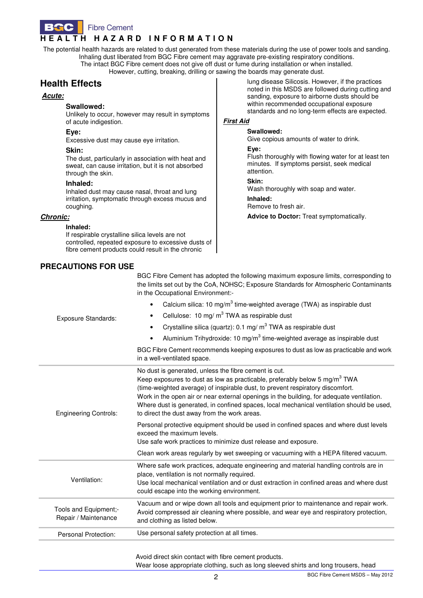

The potential health hazards are related to dust generated from these materials during the use of power tools and sanding. Inhaling dust liberated from BGC Fibre cement may aggravate pre-existing respiratory conditions. The intact BGC Fibre cement does not give off dust or fume during installation or when installed. However, cutting, breaking, drilling or sawing the boards may generate dust.

# **Health Effects**

#### **Acute:**

#### **Swallowed:**

Unlikely to occur, however may result in symptoms of acute indigestion.

#### **Eye:**

Excessive dust may cause eye irritation.

#### **Skin:**

The dust, particularly in association with heat and sweat, can cause irritation, but it is not absorbed through the skin.

#### **Inhaled:**

Inhaled dust may cause nasal, throat and lung irritation, symptomatic through excess mucus and coughing.

#### **Chronic:**

#### **Inhaled:**

If respirable crystalline silica levels are not controlled, repeated exposure to excessive dusts of fibre cement products could result in the chronic

## **PRECAUTIONS FOR USE**

lung disease Silicosis. However, if the practices noted in this MSDS are followed during cutting and sanding, exposure to airborne dusts should be within recommended occupational exposure standards and no long-term effects are expected.

#### **First Aid**

#### **Swallowed:**

Give copious amounts of water to drink.

#### **Eye:**

Flush thoroughly with flowing water for at least ten minutes. If symptoms persist, seek medical attention.

**Skin:** 

Wash thoroughly with soap and water.

**Inhaled:** 

Remove to fresh air.

**Advice to Doctor:** Treat symptomatically.

| <b>Exposure Standards:</b>                    | BGC Fibre Cement has adopted the following maximum exposure limits, corresponding to<br>the limits set out by the CoA, NOHSC; Exposure Standards for Atmospheric Contaminants<br>in the Occupational Environment:-<br>Calcium silica: 10 mg/m <sup>3</sup> time-weighted average (TWA) as inspirable dust<br>$\bullet$<br>Cellulose: 10 mg/ m <sup>3</sup> TWA as respirable dust<br>٠<br>Crystalline silica (quartz): 0.1 mg/ $m^3$ TWA as respirable dust<br>$\bullet$<br>Aluminium Trihydroxide: 10 mg/m <sup>3</sup> time-weighted average as inspirable dust<br>$\bullet$<br>BGC Fibre Cement recommends keeping exposures to dust as low as practicable and work<br>in a well-ventilated space. |  |
|-----------------------------------------------|-------------------------------------------------------------------------------------------------------------------------------------------------------------------------------------------------------------------------------------------------------------------------------------------------------------------------------------------------------------------------------------------------------------------------------------------------------------------------------------------------------------------------------------------------------------------------------------------------------------------------------------------------------------------------------------------------------|--|
| <b>Engineering Controls:</b>                  | No dust is generated, unless the fibre cement is cut.<br>Keep exposures to dust as low as practicable, preferably below 5 mg/m <sup>3</sup> TWA<br>(time-weighted average) of inspirable dust, to prevent respiratory discomfort.<br>Work in the open air or near external openings in the building, for adequate ventilation.<br>Where dust is generated, in confined spaces, local mechanical ventilation should be used,<br>to direct the dust away from the work areas.                                                                                                                                                                                                                           |  |
|                                               | Personal protective equipment should be used in confined spaces and where dust levels<br>exceed the maximum levels.<br>Use safe work practices to minimize dust release and exposure.                                                                                                                                                                                                                                                                                                                                                                                                                                                                                                                 |  |
|                                               | Clean work areas regularly by wet sweeping or vacuuming with a HEPA filtered vacuum.                                                                                                                                                                                                                                                                                                                                                                                                                                                                                                                                                                                                                  |  |
| Ventilation:                                  | Where safe work practices, adequate engineering and material handling controls are in<br>place, ventilation is not normally required.<br>Use local mechanical ventilation and or dust extraction in confined areas and where dust<br>could escape into the working environment.                                                                                                                                                                                                                                                                                                                                                                                                                       |  |
| Tools and Equipment;-<br>Repair / Maintenance | Vacuum and or wipe down all tools and equipment prior to maintenance and repair work.<br>Avoid compressed air cleaning where possible, and wear eye and respiratory protection,<br>and clothing as listed below.                                                                                                                                                                                                                                                                                                                                                                                                                                                                                      |  |
| Personal Protection:                          | Use personal safety protection at all times.                                                                                                                                                                                                                                                                                                                                                                                                                                                                                                                                                                                                                                                          |  |
|                                               | the contract of the contract of the contract of the contract of the contract of the contract of the contract of                                                                                                                                                                                                                                                                                                                                                                                                                                                                                                                                                                                       |  |

Avoid direct skin contact with fibre cement products.

Wear loose appropriate clothing, such as long sleeved shirts and long trousers, head